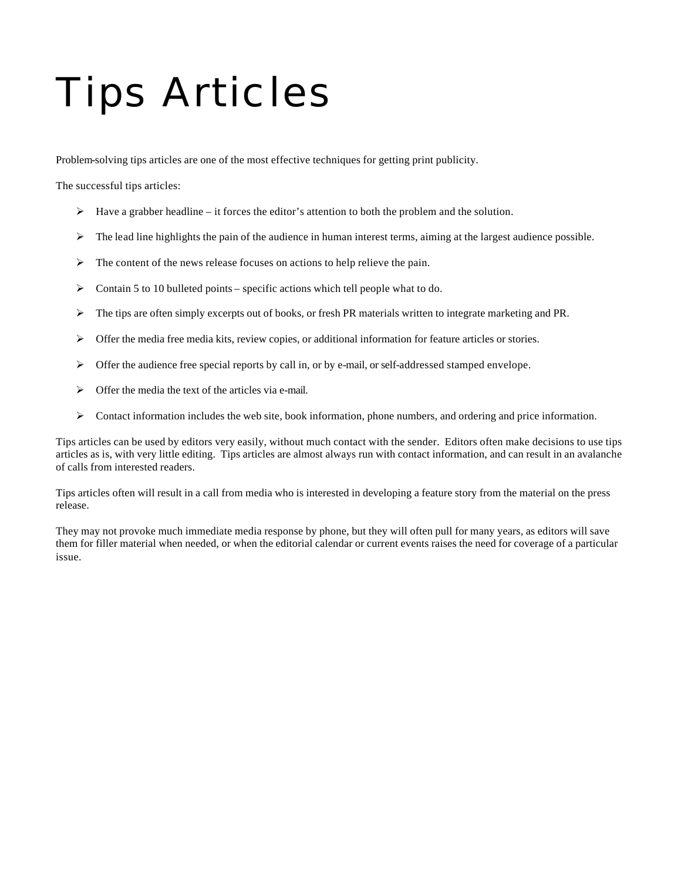# Tips Articles

Problem-solving tips articles are one of the most effective techniques for getting print publicity.

The successful tips articles:

- $\blacktriangleright$  Have a grabber headline it forces the editor's attention to both the problem and the solution.
- $\triangleright$  The lead line highlights the pain of the audience in human interest terms, aiming at the largest audience possible.
- $\triangleright$  The content of the news release focuses on actions to help relieve the pain.
- $\triangleright$  Contain 5 to 10 bulleted points specific actions which tell people what to do.
- $\triangleright$  The tips are often simply excerpts out of books, or fresh PR materials written to integrate marketing and PR.
- $\triangleright$  Offer the media free media kits, review copies, or additional information for feature articles or stories.
- $\triangleright$  Offer the audience free special reports by call in, or by e-mail, or self-addressed stamped envelope.
- $\triangleright$  Offer the media the text of the articles via e-mail.
- $\triangleright$  Contact information includes the web site, book information, phone numbers, and ordering and price information.

Tips articles can be used by editors very easily, without much contact with the sender. Editors often make decisions to use tips articles as is, with very little editing. Tips articles are almost always run with contact information, and can result in an avalanche of calls from interested readers.

Tips articles often will result in a call from media who is interested in developing a feature story from the material on the press release.

They may not provoke much immediate media response by phone, but they will often pull for many years, as editors will save them for filler material when needed, or when the editorial calendar or current events raises the need for coverage of a particular issue.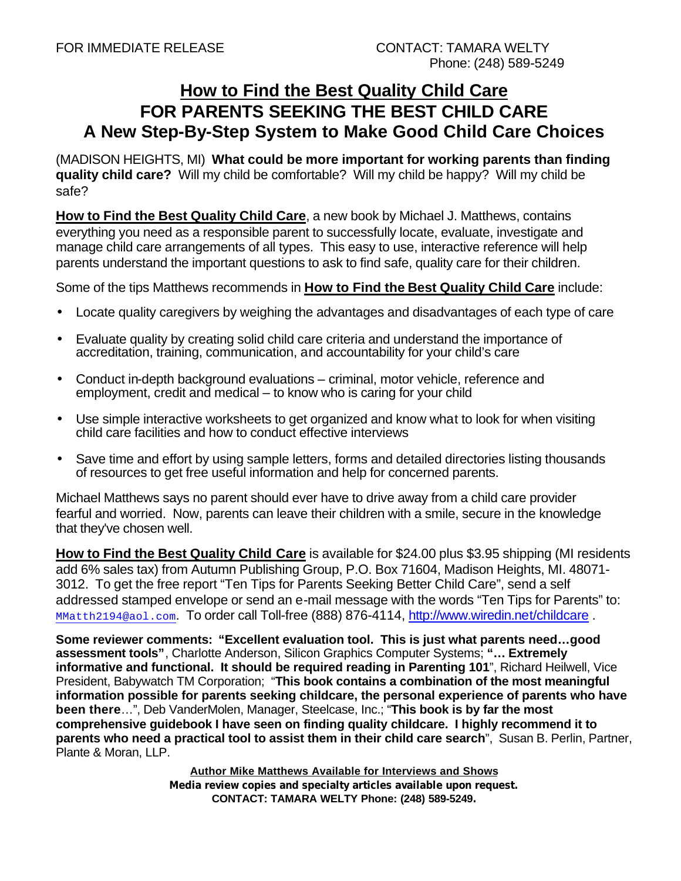## **How to Find the Best Quality Child Care FOR PARENTS SEEKING THE BEST CHILD CARE A New Step-By-Step System to Make Good Child Care Choices**

(MADISON HEIGHTS, MI) **What could be more important for working parents than finding quality child care?** Will my child be comfortable? Will my child be happy? Will my child be safe?

**How to Find the Best Quality Child Care**, a new book by Michael J. Matthews, contains everything you need as a responsible parent to successfully locate, evaluate, investigate and manage child care arrangements of all types. This easy to use, interactive reference will help parents understand the important questions to ask to find safe, quality care for their children.

Some of the tips Matthews recommends in **How to Find the Best Quality Child Care** include:

- Locate quality caregivers by weighing the advantages and disadvantages of each type of care
- Evaluate quality by creating solid child care criteria and understand the importance of accreditation, training, communication, and accountability for your child's care
- Conduct in-depth background evaluations criminal, motor vehicle, reference and employment, credit and medical – to know who is caring for your child
- Use simple interactive worksheets to get organized and know what to look for when visiting child care facilities and how to conduct effective interviews
- Save time and effort by using sample letters, forms and detailed directories listing thousands of resources to get free useful information and help for concerned parents.

Michael Matthews says no parent should ever have to drive away from a child care provider fearful and worried. Now, parents can leave their children with a smile, secure in the knowledge that they've chosen well.

**How to Find the Best Quality Child Care** is available for \$24.00 plus \$3.95 shipping (MI residents add 6% sales tax) from Autumn Publishing Group, P.O. Box 71604, Madison Heights, MI. 48071- 3012. To get the free report "Ten Tips for Parents Seeking Better Child Care", send a self addressed stamped envelope or send an e-mail message with the words "Ten Tips for Parents" to: MMatth2194@aol.com. To order call Toll-free (888) 876-4114, http://www.wiredin.net/childcare.

**Some reviewer comments: "Excellent evaluation tool. This is just what parents need…good assessment tools"**, Charlotte Anderson, Silicon Graphics Computer Systems; **"… Extremely informative and functional. It should be required reading in Parenting 101**", Richard Heilwell, Vice President, Babywatch TM Corporation; "**This book contains a combination of the most meaningful information possible for parents seeking childcare, the personal experience of parents who have been there**…", Deb VanderMolen, Manager, Steelcase, Inc.; "**This book is by far the most comprehensive guidebook I have seen on finding quality childcare. I highly recommend it to parents who need a practical tool to assist them in their child care search**", Susan B. Perlin, Partner, Plante & Moran, LLP.

> **Author Mike Matthews Available for Interviews and Shows Media review copies and specialty articles available upon request. CONTACT: TAMARA WELTY Phone: (248) 589-5249.**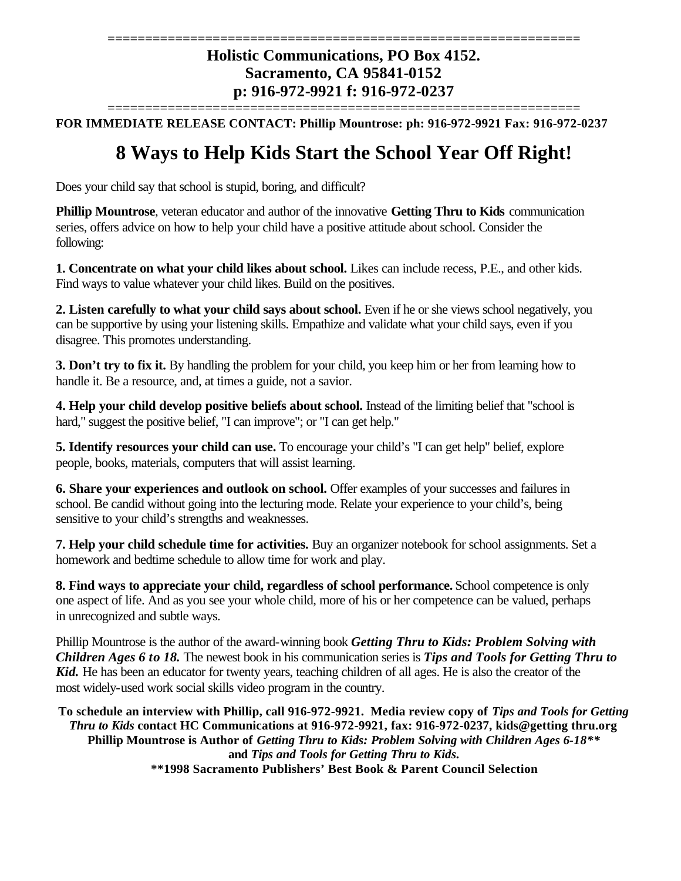#### =============================================================== **Holistic Communications, PO Box 4152. Sacramento, CA 95841-0152 p: 916-972-9921 f: 916-972-0237**

**FOR IMMEDIATE RELEASE CONTACT: Phillip Mountrose: ph: 916-972-9921 Fax: 916-972-0237**

## **8 Ways to Help Kids Start the School Year Off Right!**

===============================================================

Does your child say that school is stupid, boring, and difficult?

**Phillip Mountrose**, veteran educator and author of the innovative **Getting Thru to Kids** communication series, offers advice on how to help your child have a positive attitude about school. Consider the following:

**1. Concentrate on what your child likes about school.** Likes can include recess, P.E., and other kids. Find ways to value whatever your child likes. Build on the positives.

**2. Listen carefully to what your child says about school.** Even if he or she views school negatively, you can be supportive by using your listening skills. Empathize and validate what your child says, even if you disagree. This promotes understanding.

**3. Don't try to fix it.** By handling the problem for your child, you keep him or her from learning how to handle it. Be a resource, and, at times a guide, not a savior.

**4. Help your child develop positive beliefs about school.** Instead of the limiting belief that "school is hard," suggest the positive belief, "I can improve"; or "I can get help."

**5. Identify resources your child can use.** To encourage your child's "I can get help" belief, explore people, books, materials, computers that will assist learning.

**6. Share your experiences and outlook on school.** Offer examples of your successes and failures in school. Be candid without going into the lecturing mode. Relate your experience to your child's, being sensitive to your child's strengths and weaknesses.

**7. Help your child schedule time for activities.** Buy an organizer notebook for school assignments. Set a homework and bedtime schedule to allow time for work and play.

**8. Find ways to appreciate your child, regardless of school performance.** School competence is only one aspect of life. And as you see your whole child, more of his or her competence can be valued, perhaps in unrecognized and subtle ways.

Phillip Mountrose is the author of the award-winning book *Getting Thru to Kids: Problem Solving with Children Ages 6 to 18.* The newest book in his communication series is *Tips and Tools for Getting Thru to Kid.* He has been an educator for twenty years, teaching children of all ages. He is also the creator of the most widely-used work social skills video program in the country.

**To schedule an interview with Phillip, call 916-972-9921. Media review copy of** *Tips and Tools for Getting Thru to Kids* **contact HC Communications at 916-972-9921, fax: 916-972-0237, kids@getting thru.org Phillip Mountrose is Author of** *Getting Thru to Kids: Problem Solving with Children Ages 6-18\*\** **and** *Tips and Tools for Getting Thru to Kids***. \*\*1998 Sacramento Publishers' Best Book & Parent Council Selection**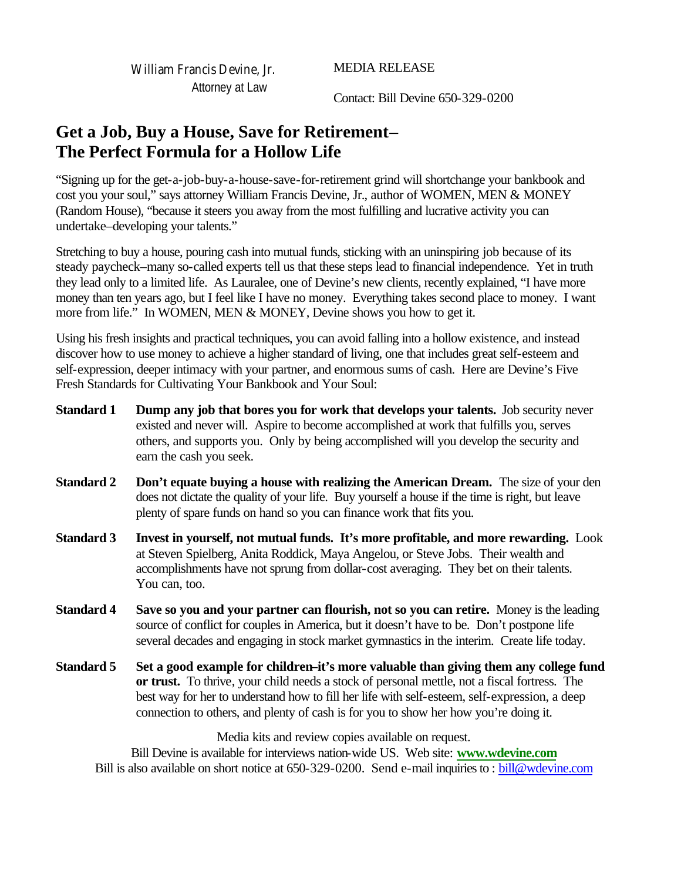William Francis Devine, Jr. Attorney at Law

MEDIA RELEASE

Contact: Bill Devine 650-329-0200

## **Get a Job, Buy a House, Save for Retirement– The Perfect Formula for a Hollow Life**

"Signing up for the get-a-job-buy-a-house-save-for-retirement grind will shortchange your bankbook and cost you your soul," says attorney William Francis Devine, Jr., author of WOMEN, MEN & MONEY (Random House), "because it steers you away from the most fulfilling and lucrative activity you can undertake–developing your talents."

Stretching to buy a house, pouring cash into mutual funds, sticking with an uninspiring job because of its steady paycheck–many so-called experts tell us that these steps lead to financial independence. Yet in truth they lead only to a limited life. As Lauralee, one of Devine's new clients, recently explained, "I have more money than ten years ago, but I feel like I have no money. Everything takes second place to money. I want more from life." In WOMEN, MEN & MONEY, Devine shows you how to get it.

Using his fresh insights and practical techniques, you can avoid falling into a hollow existence, and instead discover how to use money to achieve a higher standard of living, one that includes great self-esteem and self-expression, deeper intimacy with your partner, and enormous sums of cash. Here are Devine's Five Fresh Standards for Cultivating Your Bankbook and Your Soul:

- **Standard 1 Dump any job that bores you for work that develops your talents.** Job security never existed and never will. Aspire to become accomplished at work that fulfills you, serves others, and supports you. Only by being accomplished will you develop the security and earn the cash you seek.
- **Standard 2 Don't equate buying a house with realizing the American Dream.** The size of your den does not dictate the quality of your life. Buy yourself a house if the time is right, but leave plenty of spare funds on hand so you can finance work that fits you.
- **Standard 3 Invest in yourself, not mutual funds. It's more profitable, and more rewarding.** Look at Steven Spielberg, Anita Roddick, Maya Angelou, or Steve Jobs. Their wealth and accomplishments have not sprung from dollar-cost averaging. They bet on their talents. You can, too.
- **Standard 4 Save so you and your partner can flourish, not so you can retire.** Money is the leading source of conflict for couples in America, but it doesn't have to be. Don't postpone life several decades and engaging in stock market gymnastics in the interim. Create life today.
- **Standard 5 Set a good example for children–it's more valuable than giving them any college fund or trust.** To thrive, your child needs a stock of personal mettle, not a fiscal fortress. The best way for her to understand how to fill her life with self-esteem, self-expression, a deep connection to others, and plenty of cash is for you to show her how you're doing it.

Media kits and review copies available on request.

Bill Devine is available for interviews nation-wide US. Web site: **www.wdevine.com** Bill is also available on short notice at 650-329-0200. Send e-mail inquiries to : bill@wdevine.com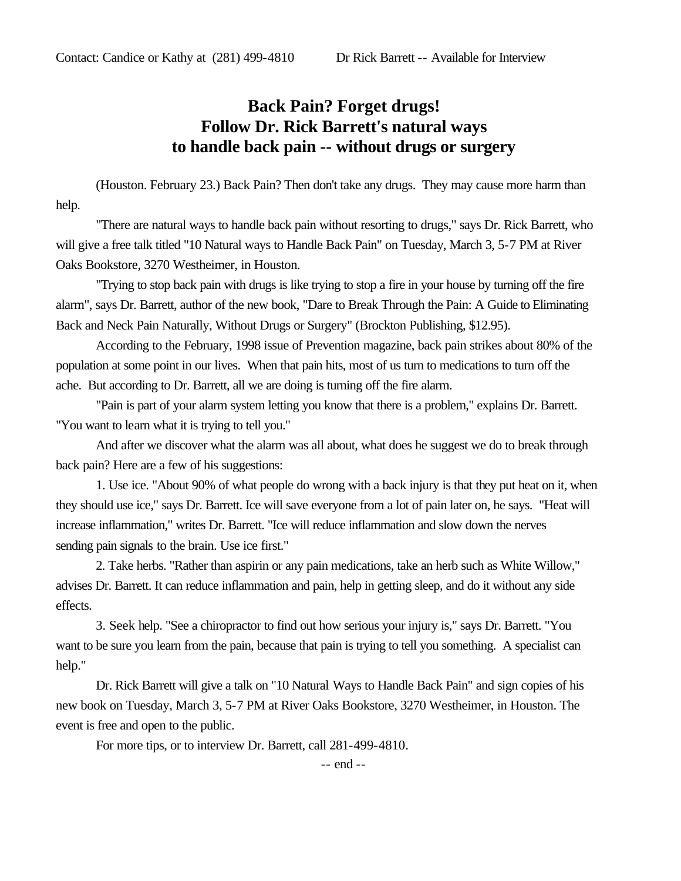### **Back Pain? Forget drugs! Follow Dr. Rick Barrett's natural ways to handle back pain -- without drugs or surgery**

(Houston. February 23.) Back Pain? Then don't take any drugs. They may cause more harm than help.

"There are natural ways to handle back pain without resorting to drugs," says Dr. Rick Barrett, who will give a free talk titled "10 Natural ways to Handle Back Pain" on Tuesday, March 3, 5-7 PM at River Oaks Bookstore, 3270 Westheimer, in Houston.

"Trying to stop back pain with drugs is like trying to stop a fire in your house by turning off the fire alarm", says Dr. Barrett, author of the new book, "Dare to Break Through the Pain: A Guide to Eliminating Back and Neck Pain Naturally, Without Drugs or Surgery" (Brockton Publishing, \$12.95).

According to the February, 1998 issue of Prevention magazine, back pain strikes about 80% of the population at some point in our lives. When that pain hits, most of us turn to medications to turn off the ache. But according to Dr. Barrett, all we are doing is turning off the fire alarm.

"Pain is part of your alarm system letting you know that there is a problem," explains Dr. Barrett. "You want to learn what it is trying to tell you."

And after we discover what the alarm was all about, what does he suggest we do to break through back pain? Here are a few of his suggestions:

1. Use ice. "About 90% of what people do wrong with a back injury is that they put heat on it, when they should use ice," says Dr. Barrett. Ice will save everyone from a lot of pain later on, he says. "Heat will increase inflammation," writes Dr. Barrett. "Ice will reduce inflammation and slow down the nerves sending pain signals to the brain. Use ice first."

2. Take herbs. "Rather than aspirin or any pain medications, take an herb such as White Willow," advises Dr. Barrett. It can reduce inflammation and pain, help in getting sleep, and do it without any side effects.

3. Seek help. "See a chiropractor to find out how serious your injury is," says Dr. Barrett. "You want to be sure you learn from the pain, because that pain is trying to tell you something. A specialist can help."

Dr. Rick Barrett will give a talk on "10 Natural Ways to Handle Back Pain" and sign copies of his new book on Tuesday, March 3, 5-7 PM at River Oaks Bookstore, 3270 Westheimer, in Houston. The event is free and open to the public.

For more tips, or to interview Dr. Barrett, call 281-499-4810.

-- end --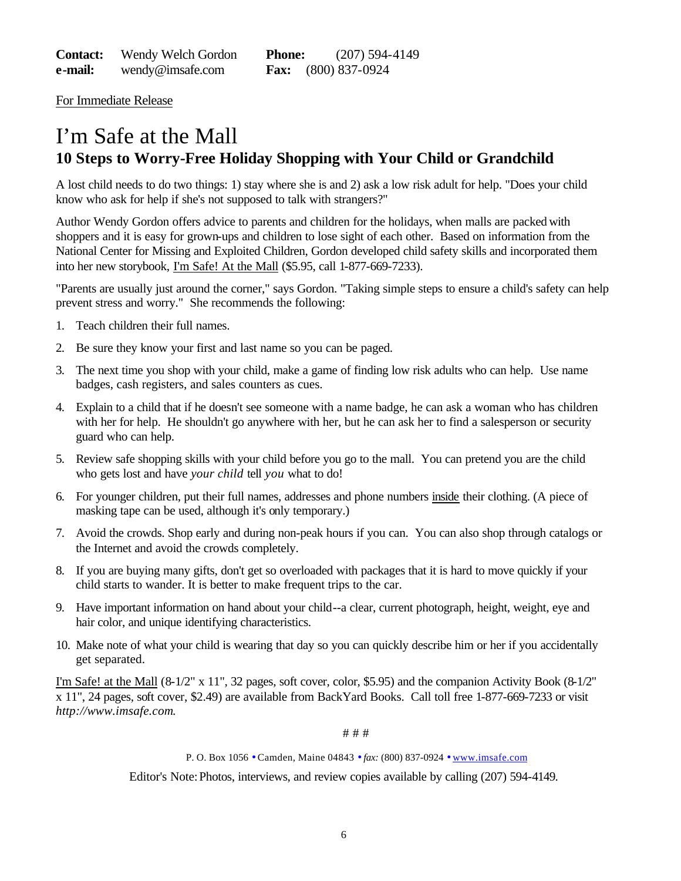For Immediate Release

## I'm Safe at the Mall **10 Steps to Worry-Free Holiday Shopping with Your Child or Grandchild**

A lost child needs to do two things: 1) stay where she is and 2) ask a low risk adult for help. "Does your child know who ask for help if she's not supposed to talk with strangers?"

Author Wendy Gordon offers advice to parents and children for the holidays, when malls are packed with shoppers and it is easy for grown-ups and children to lose sight of each other. Based on information from the National Center for Missing and Exploited Children, Gordon developed child safety skills and incorporated them into her new storybook, I'm Safe! At the Mall (\$5.95, call 1-877-669-7233).

"Parents are usually just around the corner," says Gordon. "Taking simple steps to ensure a child's safety can help prevent stress and worry." She recommends the following:

- 1. Teach children their full names.
- 2. Be sure they know your first and last name so you can be paged.
- 3. The next time you shop with your child, make a game of finding low risk adults who can help. Use name badges, cash registers, and sales counters as cues.
- 4. Explain to a child that if he doesn't see someone with a name badge, he can ask a woman who has children with her for help. He shouldn't go anywhere with her, but he can ask her to find a salesperson or security guard who can help.
- 5. Review safe shopping skills with your child before you go to the mall. You can pretend you are the child who gets lost and have *your child* tell *you* what to do!
- 6. For younger children, put their full names, addresses and phone numbers inside their clothing. (A piece of masking tape can be used, although it's only temporary.)
- 7. Avoid the crowds. Shop early and during non-peak hours if you can. You can also shop through catalogs or the Internet and avoid the crowds completely.
- 8. If you are buying many gifts, don't get so overloaded with packages that it is hard to move quickly if your child starts to wander. It is better to make frequent trips to the car.
- 9. Have important information on hand about your child--a clear, current photograph, height, weight, eye and hair color, and unique identifying characteristics.
- 10. Make note of what your child is wearing that day so you can quickly describe him or her if you accidentally get separated.

I'm Safe! at the Mall (8-1/2" x 11", 32 pages, soft cover, color, \$5.95) and the companion Activity Book (8-1/2" x 11", 24 pages, soft cover, \$2.49) are available from BackYard Books. Call toll free 1-877-669-7233 or visit *http://www.imsafe.com*.

# # #

P. O. Box 1056 • Camden, Maine 04843 • *fax:* (800) 837-0924 • www.imsafe.com

Editor's Note: Photos, interviews, and review copies available by calling (207) 594-4149.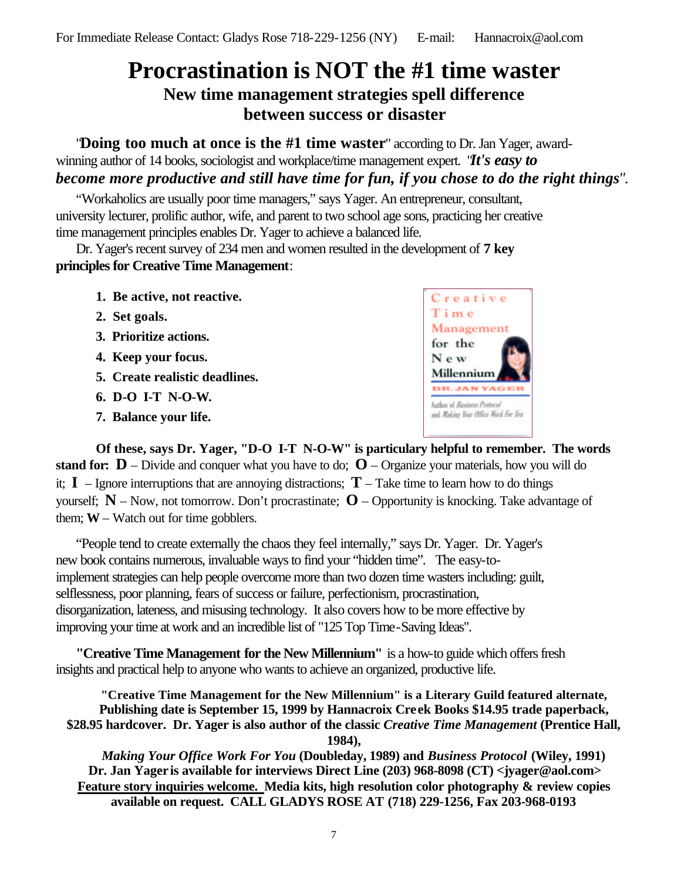## **Procrastination is NOT the #1 time waster New time management strategies spell difference between success or disaster**

"**Doing too much at once is the #1 time waster**" according to Dr. Jan Yager, awardwinning author of 14 books, sociologist and workplace/time management expert. "*It's easy to become more productive and still have time for fun, if you chose to do the right things"*.

"Workaholics are usually poor time managers," says Yager. An entrepreneur, consultant, university lecturer, prolific author, wife, and parent to two school age sons, practicing her creative time management principles enables Dr. Yager to achieve a balanced life.

Dr. Yager's recent survey of 234 men and women resulted in the development of **7 key principles for Creative Time Management**:

- **1. Be active, not reactive.**
- **2. Set goals.**
- **3. Prioritize actions.**
- **4. Keep your focus.**
- **5. Create realistic deadlines.**
- **6. D-O I-T N-O-W.**
- **7. Balance your life.**



**Of these, says Dr. Yager, "D-O I-T N-O-W" is particulary helpful to remember. The words stand for:**  $\mathbf{D}$  – Divide and conquer what you have to do;  $\mathbf{O}$  – Organize your materials, how you will do it;  $\mathbf{I}$  – Ignore interruptions that are annoying distractions;  $\mathbf{T}$  – Take time to learn how to do things yourself; **N** – Now, not tomorrow. Don't procrastinate; **O** – Opportunity is knocking. Take advantage of them;  $W - W$  atch out for time gobblers.

"People tend to create externally the chaos they feel internally," says Dr. Yager. Dr. Yager's new book contains numerous, invaluable ways to find your "hidden time". The easy-toimplement strategies can help people overcome more than two dozen time wasters including: guilt, selflessness, poor planning, fears of success or failure, perfectionism, procrastination, disorganization, lateness, and misusing technology. It also covers how to be more effective by improving your time at work and an incredible list of "125 Top Time-Saving Ideas".

**"Creative Time Management for the New Millennium"** is a how-to guide which offers fresh insights and practical help to anyone who wants to achieve an organized, productive life.

**"Creative Time Management for the New Millennium" is a Literary Guild featured alternate, Publishing date is September 15, 1999 by Hannacroix Creek Books \$14.95 trade paperback, \$28.95 hardcover. Dr. Yager is also author of the classic** *Creative Time Management* **(Prentice Hall, 1984),**

*Making Your Office Work For You* **(Doubleday, 1989) and** *Business Protocol* **(Wiley, 1991) Dr. Jan Yager is available for interviews Direct Line (203) 968-8098 (CT) <jyager@aol.com> Feature story inquiries welcome. Media kits, high resolution color photography & review copies available on request. CALL GLADYS ROSE AT (718) 229-1256, Fax 203-968-0193**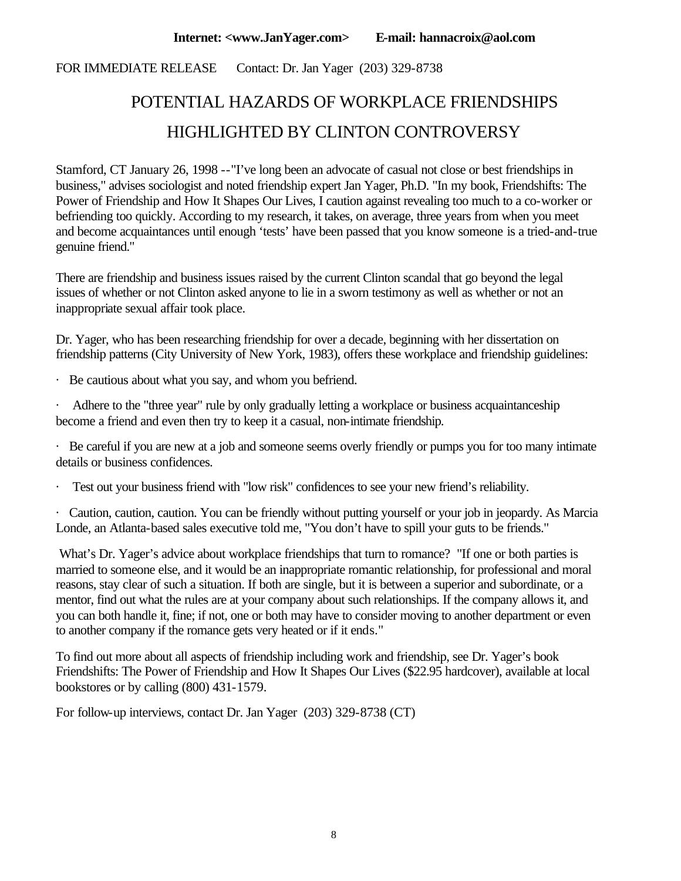#### **Internet: <www.JanYager.com> E-mail: hannacroix@aol.com**

#### FOR IMMEDIATE RELEASE Contact: Dr. Jan Yager (203) 329-8738

# POTENTIAL HAZARDS OF WORKPLACE FRIENDSHIPS HIGHLIGHTED BY CLINTON CONTROVERSY

Stamford, CT January 26, 1998 --"I've long been an advocate of casual not close or best friendships in business," advises sociologist and noted friendship expert Jan Yager, Ph.D. "In my book, Friendshifts: The Power of Friendship and How It Shapes Our Lives, I caution against revealing too much to a co-worker or befriending too quickly. According to my research, it takes, on average, three years from when you meet and become acquaintances until enough 'tests' have been passed that you know someone is a tried-and-true genuine friend."

There are friendship and business issues raised by the current Clinton scandal that go beyond the legal issues of whether or not Clinton asked anyone to lie in a sworn testimony as well as whether or not an inappropriate sexual affair took place.

Dr. Yager, who has been researching friendship for over a decade, beginning with her dissertation on friendship patterns (City University of New York, 1983), offers these workplace and friendship guidelines:

· Be cautious about what you say, and whom you befriend.

Adhere to the "three year" rule by only gradually letting a workplace or business acquaintanceship become a friend and even then try to keep it a casual, non-intimate friendship.

· Be careful if you are new at a job and someone seems overly friendly or pumps you for too many intimate details or business confidences.

· Test out your business friend with "low risk" confidences to see your new friend's reliability.

· Caution, caution, caution. You can be friendly without putting yourself or your job in jeopardy. As Marcia Londe, an Atlanta-based sales executive told me, "You don't have to spill your guts to be friends."

 What's Dr. Yager's advice about workplace friendships that turn to romance? "If one or both parties is married to someone else, and it would be an inappropriate romantic relationship, for professional and moral reasons, stay clear of such a situation. If both are single, but it is between a superior and subordinate, or a mentor, find out what the rules are at your company about such relationships. If the company allows it, and you can both handle it, fine; if not, one or both may have to consider moving to another department or even to another company if the romance gets very heated or if it ends."

To find out more about all aspects of friendship including work and friendship, see Dr. Yager's book Friendshifts: The Power of Friendship and How It Shapes Our Lives (\$22.95 hardcover), available at local bookstores or by calling (800) 431-1579.

For follow-up interviews, contact Dr. Jan Yager (203) 329-8738 (CT)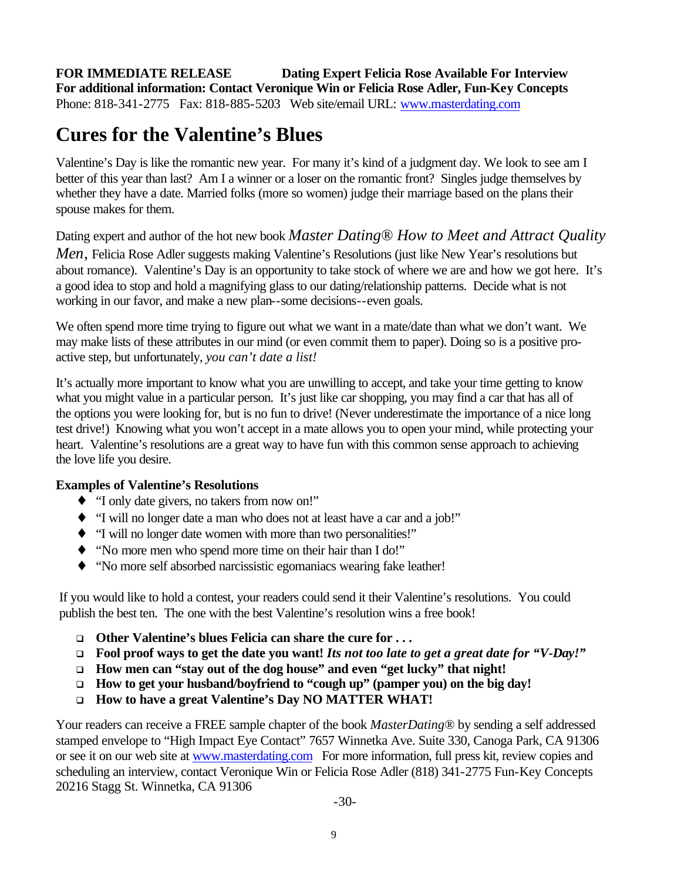**FOR IMMEDIATE RELEASE Dating Expert Felicia Rose Available For Interview For additional information: Contact Veronique Win or Felicia Rose Adler, Fun-Key Concepts** Phone: 818-341-2775 Fax: 818-885-5203 Web site/email URL: www.masterdating.com

# **Cures for the Valentine's Blues**

Valentine's Day is like the romantic new year. For many it's kind of a judgment day. We look to see am I better of this year than last? Am I a winner or a loser on the romantic front? Singles judge themselves by whether they have a date. Married folks (more so women) judge their marriage based on the plans their spouse makes for them.

Dating expert and author of the hot new book *Master Dating® How to Meet and Attract Quality* 

*Men*, Felicia Rose Adler suggests making Valentine's Resolutions (just like New Year's resolutions but about romance). Valentine's Day is an opportunity to take stock of where we are and how we got here. It's a good idea to stop and hold a magnifying glass to our dating/relationship patterns. Decide what is not working in our favor, and make a new plan--some decisions--even goals.

We often spend more time trying to figure out what we want in a mate/date than what we don't want. We may make lists of these attributes in our mind (or even commit them to paper). Doing so is a positive proactive step, but unfortunately, *you can't date a list!*

It's actually more important to know what you are unwilling to accept, and take your time getting to know what you might value in a particular person. It's just like car shopping, you may find a car that has all of the options you were looking for, but is no fun to drive! (Never underestimate the importance of a nice long test drive!) Knowing what you won't accept in a mate allows you to open your mind, while protecting your heart. Valentine's resolutions are a great way to have fun with this common sense approach to achieving the love life you desire.

#### **Examples of Valentine's Resolutions**

- ♦ "I only date givers, no takers from now on!"
- ♦ "I will no longer date a man who does not at least have a car and a job!"
- ♦ "I will no longer date women with more than two personalities!"
- ♦ "No more men who spend more time on their hair than I do!"
- ♦ "No more self absorbed narcissistic egomaniacs wearing fake leather!

If you would like to hold a contest, your readers could send it their Valentine's resolutions. You could publish the best ten. The one with the best Valentine's resolution wins a free book!

- <sup>q</sup> **Other Valentine's blues Felicia can share the cure for . . .**
- <sup>q</sup> **Fool proof ways to get the date you want!** *Its not too late to get a great date for "V-Day!"*
- □ **How men can "stay out of the dog house" and even "get lucky" that night!**
- □ How to get your husband/boyfriend to "cough up" (pamper you) on the big day!
- <sup>q</sup> **How to have a great Valentine's Day NO MATTER WHAT!**

Your readers can receive a FREE sample chapter of the book *MasterDating®* by sending a self addressed stamped envelope to "High Impact Eye Contact" 7657 Winnetka Ave. Suite 330, Canoga Park, CA 91306 or see it on our web site at www.masterdating.com For more information, full press kit, review copies and scheduling an interview, contact Veronique Win or Felicia Rose Adler (818) 341-2775 Fun-Key Concepts 20216 Stagg St. Winnetka, CA 91306

-30-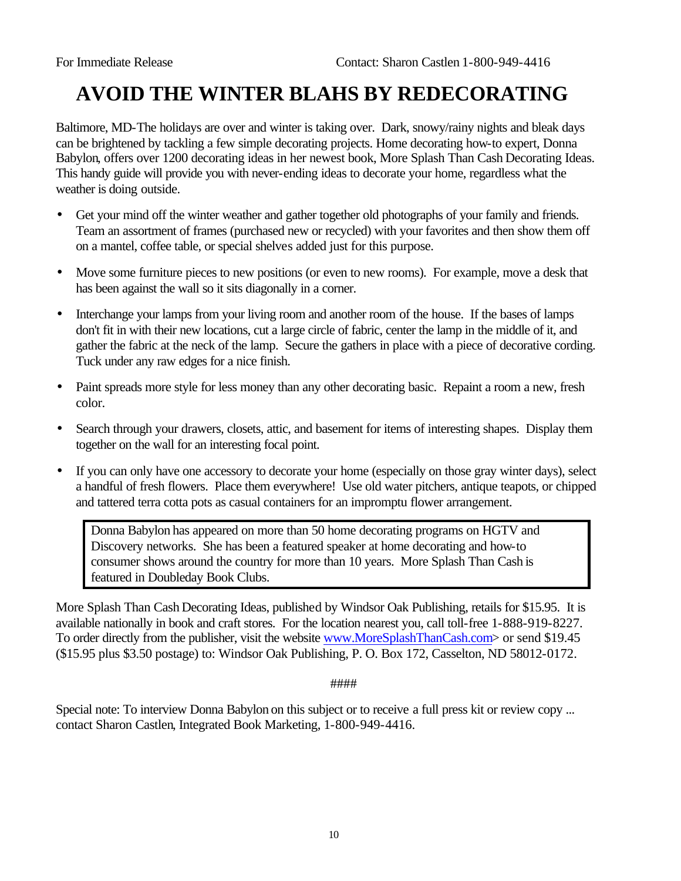# **AVOID THE WINTER BLAHS BY REDECORATING**

Baltimore, MD-The holidays are over and winter is taking over. Dark, snowy/rainy nights and bleak days can be brightened by tackling a few simple decorating projects. Home decorating how-to expert, Donna Babylon, offers over 1200 decorating ideas in her newest book, More Splash Than Cash Decorating Ideas. This handy guide will provide you with never-ending ideas to decorate your home, regardless what the weather is doing outside.

- Get your mind off the winter weather and gather together old photographs of your family and friends. Team an assortment of frames (purchased new or recycled) with your favorites and then show them off on a mantel, coffee table, or special shelves added just for this purpose.
- Move some furniture pieces to new positions (or even to new rooms). For example, move a desk that has been against the wall so it sits diagonally in a corner.
- Interchange your lamps from your living room and another room of the house. If the bases of lamps don't fit in with their new locations, cut a large circle of fabric, center the lamp in the middle of it, and gather the fabric at the neck of the lamp. Secure the gathers in place with a piece of decorative cording. Tuck under any raw edges for a nice finish.
- Paint spreads more style for less money than any other decorating basic. Repaint a room a new, fresh color.
- Search through your drawers, closets, attic, and basement for items of interesting shapes. Display them together on the wall for an interesting focal point.
- If you can only have one accessory to decorate your home (especially on those gray winter days), select a handful of fresh flowers. Place them everywhere! Use old water pitchers, antique teapots, or chipped and tattered terra cotta pots as casual containers for an impromptu flower arrangement.

Donna Babylon has appeared on more than 50 home decorating programs on HGTV and Discovery networks. She has been a featured speaker at home decorating and how-to consumer shows around the country for more than 10 years. More Splash Than Cash is featured in Doubleday Book Clubs.

More Splash Than Cash Decorating Ideas, published by Windsor Oak Publishing, retails for \$15.95. It is available nationally in book and craft stores. For the location nearest you, call toll-free 1-888-919-8227. To order directly from the publisher, visit the website www.MoreSplashThanCash.com> or send \$19.45 (\$15.95 plus \$3.50 postage) to: Windsor Oak Publishing, P. O. Box 172, Casselton, ND 58012-0172.

####

Special note: To interview Donna Babylon on this subject or to receive a full press kit or review copy ... contact Sharon Castlen, Integrated Book Marketing, 1-800-949-4416.